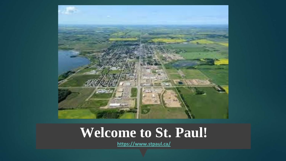

#### **Welcome to St. Paul!**

**<https://www.stpaul.ca/>**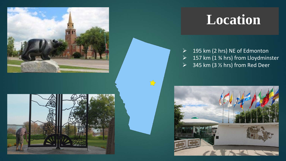



#### **Location**

- $\geq$  195 km (2 hrs) NE of Edmonton  $\geq$  157 km (1 % hrs) from Lloydminster
- $\geq$  345 km (3 % hrs) from Red Deer

 $\Rightarrow$ 

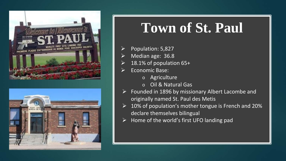



### **Town of St. Paul**

- Population: 5,827
- Median age: 36.8
- 18.1% of population 65+
- Economic Base:
	- o Agriculture
	- o Oil & Natural Gas
- $\triangleright$  Founded in 1896 by missionary Albert Lacombe and originally named St. Paul des Metis
- $\geq$  10% of population's mother tongue is French and 20% declare themselves bilingual
- $\triangleright$  Home of the world's first UFO landing pad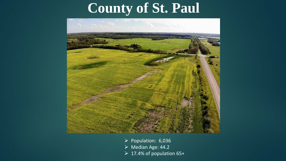## **County of St. Paul**



- $\triangleright$  Population: 6,036
- Median Age: 44.2
- $\triangleright$  17.4% of population 65+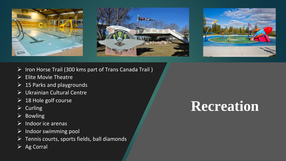





- > Iron Horse Trail (300 kms part of Trans Canada Trail)
- $\triangleright$  Elite Movie Theatre
- $\geq$  15 Parks and playgrounds
- Ukrainian Cultural Centre
- $\geq$  18 Hole golf course
- $\triangleright$  Curling
- $\triangleright$  Bowling
- $\triangleright$  Indoor ice arenas
- $\triangleright$  Indoor swimming pool
- $\triangleright$  Tennis courts, sports fields, ball diamonds
- $\triangleright$  Ag Corral

## **Recreation**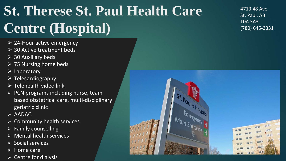# **St. Therese St. Paul Health Care Centre (Hospital)**

- $\geq$  24-Hour active emergency
- $\triangleright$  30 Active treatment beds
- $\geq$  30 Auxiliary beds
- $\triangleright$  75 Nursing home beds
- $\triangleright$  Laboratory
- $\triangleright$  Telecardiography
- $\triangleright$  Telehealth video link
- $\triangleright$  PCN programs including nurse, team based obstetrical care, multi-disciplinary geriatric clinic
- $\triangleright$  AADAC
- $\triangleright$  Community health services
- $\triangleright$  Family counselling
- $\triangleright$  Mental health services
- $\triangleright$  Social services
- $\triangleright$  Home care
- $\triangleright$  Centre for dialysis

4713 48 Ave St. Paul, AB T0A 3A3 (780) 645-3331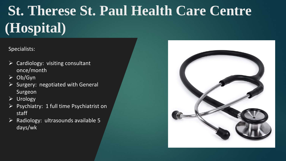# **St. Therese St. Paul Health Care Centre (Hospital)**

Specialists:

- Cardiology: visiting consultant once/month
- $\triangleright$  Ob/Gyn
- $\triangleright$  Surgery: negotiated with General Surgeon
- $\triangleright$  Urology
- $\triangleright$  Psychiatry: 1 full time Psychiatrist on staff
- $\triangleright$  Radiology: ultrasounds available 5 days/wk